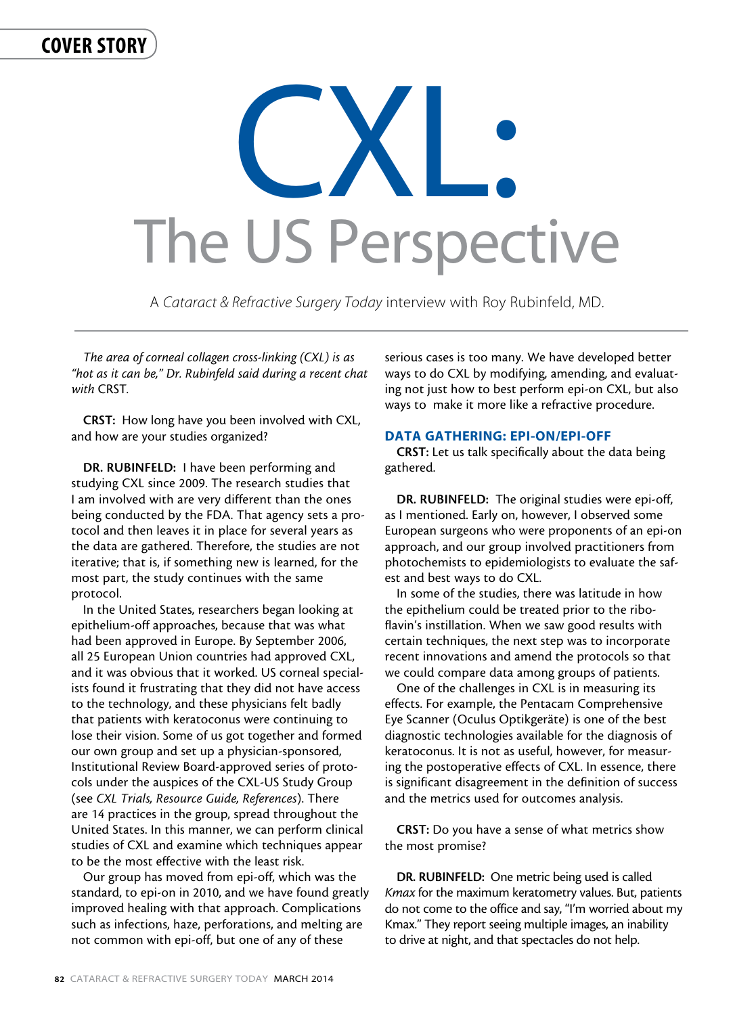# cover story

# CXL. The US Perspective

A *Cataract & Refractive Surgery Today* interview with Roy Rubinfeld, MD.

*The area of corneal collagen cross-linking (CXL) is as "hot as it can be," Dr. Rubinfeld said during a recent chat with* CRST*.* 

CRST: How long have you been involved with CXL, and how are your studies organized?

DR. RUBINFELD: I have been performing and studying CXL since 2009. The research studies that I am involved with are very different than the ones being conducted by the FDA. That agency sets a protocol and then leaves it in place for several years as the data are gathered. Therefore, the studies are not iterative; that is, if something new is learned, for the most part, the study continues with the same protocol.

In the United States, researchers began looking at epithelium-off approaches, because that was what had been approved in Europe. By September 2006, all 25 European Union countries had approved CXL, and it was obvious that it worked. US corneal specialists found it frustrating that they did not have access to the technology, and these physicians felt badly that patients with keratoconus were continuing to lose their vision. Some of us got together and formed our own group and set up a physician-sponsored, Institutional Review Board-approved series of protocols under the auspices of the CXL-US Study Group (see *CXL Trials, Resource Guide, References*). There are 14 practices in the group, spread throughout the United States. In this manner, we can perform clinical studies of CXL and examine which techniques appear to be the most effective with the least risk.

Our group has moved from epi-off, which was the standard, to epi-on in 2010, and we have found greatly improved healing with that approach. Complications such as infections, haze, perforations, and melting are not common with epi-off, but one of any of these

serious cases is too many. We have developed better ways to do CXL by modifying, amending, and evaluating not just how to best perform epi-on CXL, but also ways to make it more like a refractive procedure.

# DATA GATHERING: EPI-ON/EPI-OFF

CRST: Let us talk specifically about the data being gathered.

DR. RUBINFELD: The original studies were epi-off, as I mentioned. Early on, however, I observed some European surgeons who were proponents of an epi-on approach, and our group involved practitioners from photochemists to epidemiologists to evaluate the safest and best ways to do CXL.

In some of the studies, there was latitude in how the epithelium could be treated prior to the riboflavin's instillation. When we saw good results with certain techniques, the next step was to incorporate recent innovations and amend the protocols so that we could compare data among groups of patients.

One of the challenges in CXL is in measuring its effects. For example, the Pentacam Comprehensive Eye Scanner (Oculus Optikgeräte) is one of the best diagnostic technologies available for the diagnosis of keratoconus. It is not as useful, however, for measuring the postoperative effects of CXL. In essence, there is significant disagreement in the definition of success and the metrics used for outcomes analysis.

CRST: Do you have a sense of what metrics show the most promise?

DR. RUBINFELD: One metric being used is called *Kmax* for the maximum keratometry values. But, patients do not come to the office and say, "I'm worried about my Kmax." They report seeing multiple images, an inability to drive at night, and that spectacles do not help.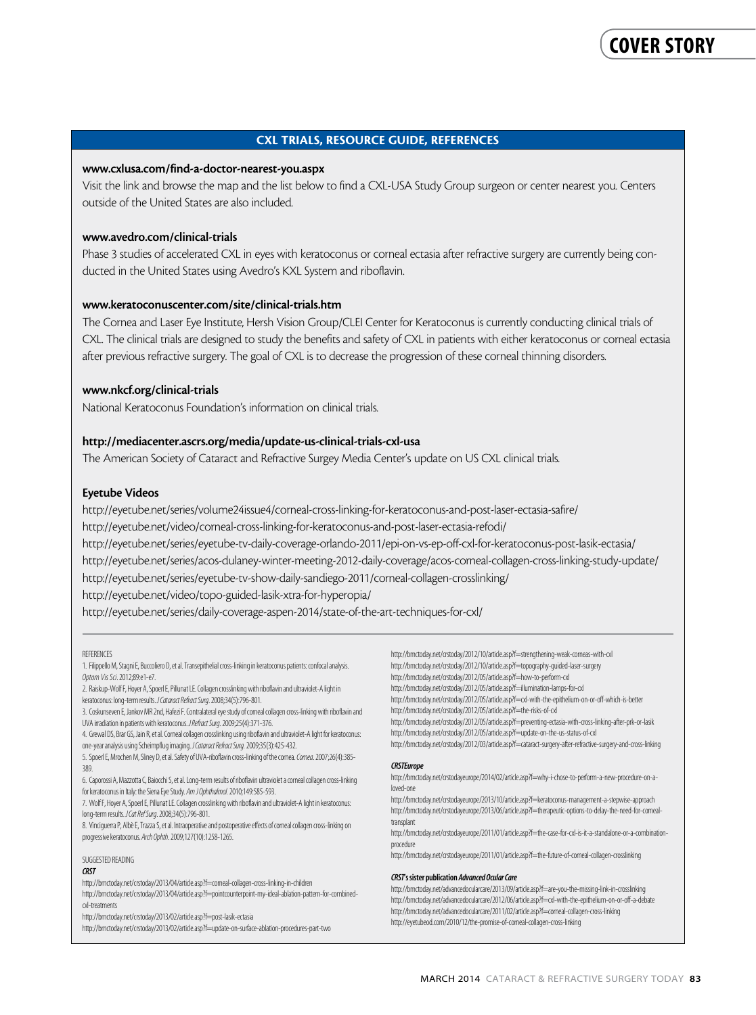# CXL TRIALS, RESOURCE GUIDE, REFERENCES

# www.cxlusa.com/find-a-doctor-nearest-you.aspx

Visit the link and browse the map and the list below to find a CXL-USA Study Group surgeon or center nearest you. Centers outside of the United States are also included.

# www.avedro.com/clinical-trials

Phase 3 studies of accelerated CXL in eyes with keratoconus or corneal ectasia after refractive surgery are currently being conducted in the United States using Avedro's KXL System and riboflavin.

# www.keratoconuscenter.com/site/clinical-trials.htm

The Cornea and Laser Eye Institute, Hersh Vision Group/CLEI Center for Keratoconus is currently conducting clinical trials of CXL. The clinical trials are designed to study the benefits and safety of CXL in patients with either keratoconus or corneal ectasia after previous refractive surgery. The goal of CXL is to decrease the progression of these corneal thinning disorders.

# www.nkcf.org/clinical-trials

National Keratoconus Foundation's information on clinical trials.

## http://mediacenter.ascrs.org/media/update-us-clinical-trials-cxl-usa

The American Society of Cataract and Refractive Surgey Media Center's update on US CXL clinical trials.

#### Eyetube Videos

http://eyetube.net/series/volume24issue4/corneal-cross-linking-for-keratoconus-and-post-laser-ectasia-safire/

http://eyetube.net/video/corneal-cross-linking-for-keratoconus-and-post-laser-ectasia-refodi/

http://eyetube.net/series/eyetube-tv-daily-coverage-orlando-2011/epi-on-vs-ep-off-cxl-for-keratoconus-post-lasik-ectasia/

http://eyetube.net/series/acos-dulaney-winter-meeting-2012-daily-coverage/acos-corneal-collagen-cross-linking-study-update/

http://eyetube.net/series/eyetube-tv-show-daily-sandiego-2011/corneal-collagen-crosslinking/

http://eyetube.net/video/topo-guided-lasik-xtra-for-hyperopia/

http://eyetube.net/series/daily-coverage-aspen-2014/state-of-the-art-techniques-for-cxl/

#### **REFERENCES**

1. Filippello M, Stagni E, Buccoliero D, et al. Transepithelial cross-linking in keratoconus patients: confocal analysis. *Optom Vis Sci*. 2012;89:e1-e7.

2. Raiskup-Wolf F, Hoyer A, Spoerl E, Pillunat LE. Collagen crosslinking with riboflavin and ultraviolet-A light in keratoconus: long-term results. *J Cataract Refract Surg*. 2008;34(5):796-801.

3. Coskunseven E, Jankov MR 2nd, Hafezi F. Contralateral eye study of corneal collagen cross-linking with riboflavin and UVA irradiation in patients with keratoconus.*J Refract Surg*. 2009;25(4):371-376.

4. Grewal DS, Brar GS, Jain R, et al. Corneal collagen crosslinking using riboflavin and ultraviolet-A light for keratoconus: one-year analysis using Scheimpflug imaging. *J Cataract Refract Surg.* 2009;35(3):425-432.

5. Spoerl E, Mrochen M, Sliney D, et al. Safety of UVA-riboflavin cross-linking of the cornea. *Cornea*. 2007;26(4):385- 389.

6. Caporossi A, Mazzotta C, Baiocchi S, et al. Long-term results of riboflavin ultraviolet a corneal collagen cross-linking for keratoconus in Italy: the Siena Eye Study. *Am J Ophthalmol.* 2010;149:585-593.

7. Wolf F, Hoyer A, Spoerl E, Pillunat LE. Collagen crosslinking with riboflavin and ultraviolet-A light in keratoconus: long-term results. *J Cat Ref Surg*. 2008;34(5):796-801.

8. Vinciguerra P, Albè E, Trazza S, et al. Intraoperative and postoperative effects of corneal collagen cross-linking on progressive keratoconus. *Arch Ophth*. 2009;127(10):1258-1265.

#### SUGGESTED READING

#### *CRST*

http://bmctoday.net/crstoday/2013/04/article.asp?f=corneal-collagen-cross-linking-in-children http://bmctoday.net/crstoday/2013/04/article.asp?f=pointcounterpoint-my-ideal-ablation-pattern-for-combinedcxl-treatments

http://bmctoday.net/crstoday/2013/02/article.asp?f=post-lasik-ectasia

http://bmctoday.net/crstoday/2013/02/article.asp?f=update-on-surface-ablation-procedures-part-two

http://bmctoday.net/crstoday/2012/10/article.asp?f=strengthening-weak-corneas-with-cxl http://bmctoday.net/crstoday/2012/10/article.asp?f=topography-guided-laser-surgery

http://bmctoday.net/crstoday/2012/05/article.asp?f=how-to-perform-cxl

http://bmctoday.net/crstoday/2012/05/article.asp?f=illumination-lamps-for-cxl

http://bmctoday.net/crstoday/2012/05/article.asp?f=cxl-with-the-epithelium-on-or-off-which-is-better

http://bmctoday.net/crstoday/2012/05/article.asp?f=the-risks-of-cxl

http://bmctoday.net/crstoday/2012/05/article.asp?f=preventing-ectasia-with-cross-linking-after-prk-or-lasik http://bmctoday.net/crstoday/2012/05/article.asp?f=update-on-the-us-status-of-cxl

http://bmctoday.net/crstoday/2012/03/article.asp?f=cataract-surgery-after-refractive-surgery-and-cross-linking

#### *CRSTEurope*

http://bmctoday.net/crstodayeurope/2014/02/article.asp?f=why-i-chose-to-perform-a-new-procedure-on-aloved-one

http://bmctoday.net/crstodayeurope/2013/10/article.asp?f=keratoconus-management-a-stepwise-approach http://bmctoday.net/crstodayeurope/2013/06/article.asp?f=therapeutic-options-to-delay-the-need-for-cornealtransplant

http://bmctoday.net/crstodayeurope/2011/01/article.asp?f=the-case-for-cxl-is-it-a-standalone-or-a-combinationprocedure

http://bmctoday.net/crstodayeurope/2011/01/article.asp?f=the-future-of-corneal-collagen-crosslinking

#### *CRST*'s sister publication *Advanced Ocular Care*

http://bmctoday.net/advancedocularcare/2013/09/article.asp?f=are-you-the-missing-link-in-crosslinking http://bmctoday.net/advancedocularcare/2012/06/article.asp?f=cxl-with-the-epithelium-on-or-off-a-debate http://bmctoday.net/advancedocularcare/2011/02/article.asp?f=corneal-collagen-cross-linking http://eyetubeod.com/2010/12/the-promise-of-corneal-collagen-cross-linking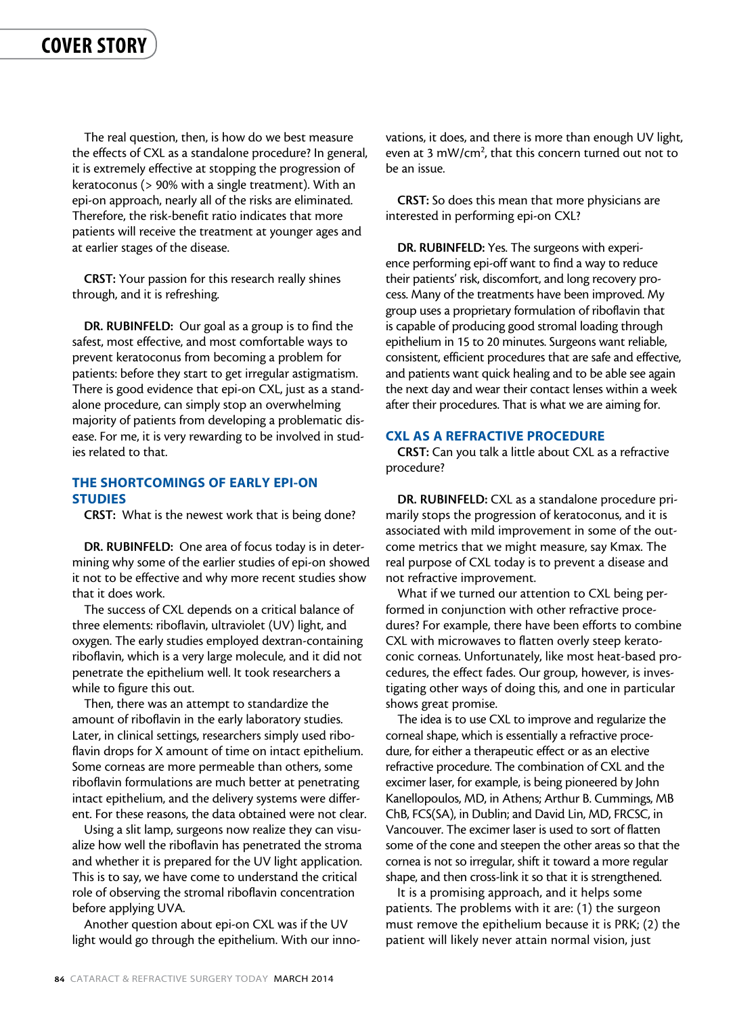The real question, then, is how do we best measure the effects of CXL as a standalone procedure? In general, it is extremely effective at stopping the progression of keratoconus (> 90% with a single treatment). With an epi-on approach, nearly all of the risks are eliminated. Therefore, the risk-benefit ratio indicates that more patients will receive the treatment at younger ages and at earlier stages of the disease.

CRST: Your passion for this research really shines through, and it is refreshing.

DR. RUBINFELD: Our goal as a group is to find the safest, most effective, and most comfortable ways to prevent keratoconus from becoming a problem for patients: before they start to get irregular astigmatism. There is good evidence that epi-on CXL, just as a standalone procedure, can simply stop an overwhelming majority of patients from developing a problematic disease. For me, it is very rewarding to be involved in studies related to that.

# THE SHORTCOMINGS OF EARLY EPI-ON STUDIES

CRST: What is the newest work that is being done?

DR. RUBINFELD: One area of focus today is in determining why some of the earlier studies of epi-on showed it not to be effective and why more recent studies show that it does work.

The success of CXL depends on a critical balance of three elements: riboflavin, ultraviolet (UV) light, and oxygen. The early studies employed dextran-containing riboflavin, which is a very large molecule, and it did not penetrate the epithelium well. It took researchers a while to figure this out.

Then, there was an attempt to standardize the amount of riboflavin in the early laboratory studies. Later, in clinical settings, researchers simply used riboflavin drops for X amount of time on intact epithelium. Some corneas are more permeable than others, some riboflavin formulations are much better at penetrating intact epithelium, and the delivery systems were different. For these reasons, the data obtained were not clear.

Using a slit lamp, surgeons now realize they can visualize how well the riboflavin has penetrated the stroma and whether it is prepared for the UV light application. This is to say, we have come to understand the critical role of observing the stromal riboflavin concentration before applying UVA.

Another question about epi-on CXL was if the UV light would go through the epithelium. With our innovations, it does, and there is more than enough UV light, even at 3 mW/cm<sup>2</sup>, that this concern turned out not to be an issue.

CRST: So does this mean that more physicians are interested in performing epi-on CXL?

DR. RUBINFELD: Yes. The surgeons with experience performing epi-off want to find a way to reduce their patients' risk, discomfort, and long recovery process. Many of the treatments have been improved. My group uses a proprietary formulation of riboflavin that is capable of producing good stromal loading through epithelium in 15 to 20 minutes. Surgeons want reliable, consistent, efficient procedures that are safe and effective, and patients want quick healing and to be able see again the next day and wear their contact lenses within a week after their procedures. That is what we are aiming for.

# CXL AS A REFRACTIVE PROCEDURE

CRST: Can you talk a little about CXL as a refractive procedure?

DR. RUBINFELD: CXL as a standalone procedure primarily stops the progression of keratoconus, and it is associated with mild improvement in some of the outcome metrics that we might measure, say Kmax. The real purpose of CXL today is to prevent a disease and not refractive improvement.

What if we turned our attention to CXL being performed in conjunction with other refractive procedures? For example, there have been efforts to combine CXL with microwaves to flatten overly steep keratoconic corneas. Unfortunately, like most heat-based procedures, the effect fades. Our group, however, is investigating other ways of doing this, and one in particular shows great promise.

The idea is to use CXL to improve and regularize the corneal shape, which is essentially a refractive procedure, for either a therapeutic effect or as an elective refractive procedure. The combination of CXL and the excimer laser, for example, is being pioneered by John Kanellopoulos, MD, in Athens; Arthur B. Cummings, MB ChB, FCS(SA), in Dublin; and David Lin, MD, FRCSC, in Vancouver. The excimer laser is used to sort of flatten some of the cone and steepen the other areas so that the cornea is not so irregular, shift it toward a more regular shape, and then cross-link it so that it is strengthened.

It is a promising approach, and it helps some patients. The problems with it are: (1) the surgeon must remove the epithelium because it is PRK; (2) the patient will likely never attain normal vision, just